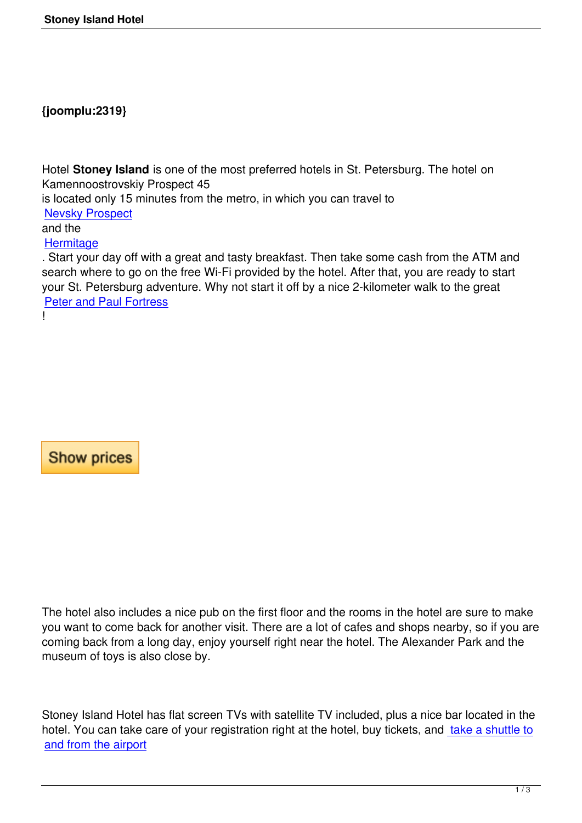## **{joomplu:2319}**

Hotel **Stoney Island** is one of the most preferred hotels in St. Petersburg. The hotel on Kamennoostrovskiy Prospect 45

is located only 15 minutes from the metro, in which you can travel to

Nevsky Prospect

and the

**Hermitage** 

[. Start your day of](entertainment/st-petersburg-attractions/234-nevsky-prospekt.html)f with a great and tasty breakfast. Then take some cash from the ATM and search where to go on the free Wi-Fi provided by the hotel. After that, you are ready to start [your St. Pe](entertainment/st-petersburg-attractions/30-hermitage.html)tersburg adventure. Why not start it off by a nice 2-kilometer walk to the great Peter and Paul Fortress

!

**Show prices** 

The hotel also includes a nice pub on the first floor and the rooms in the hotel are sure to make you want to come back for another visit. There are a lot of cafes and shops nearby, so if you are coming back from a long day, enjoy yourself right near the hotel. The Alexander Park and the museum of toys is also close by.

Stoney Island Hotel has flat screen TVs with satellite TV included, plus a nice bar located in the hotel. You can take care of your registration right at the hotel, buy tickets, and take a shuttle to and from the airport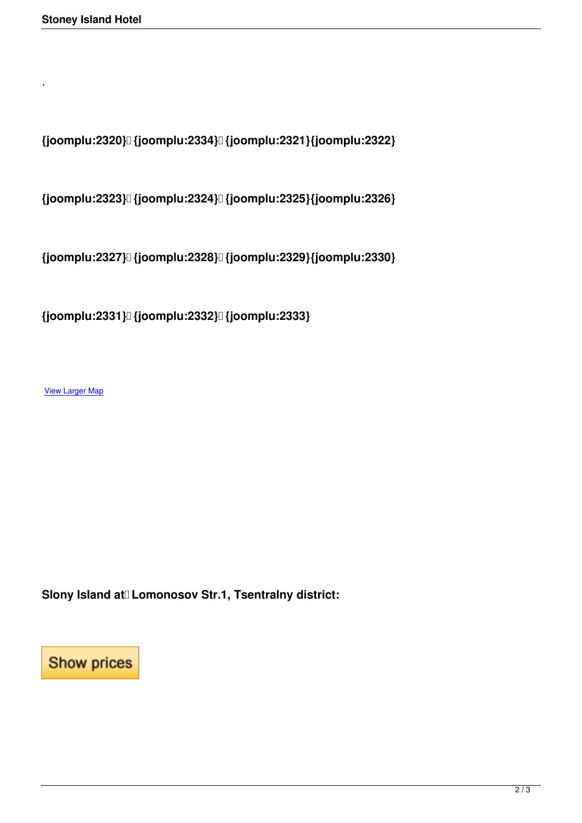**{joomplu:2320} {joomplu:2334} {joomplu:2321}{joomplu:2322}**

**{joomplu:2323} {joomplu:2324} {joomplu:2325}{joomplu:2326}**

**{joomplu:2327} {joomplu:2328} {joomplu:2329}{joomplu:2330}**

**{joomplu:2331} {joomplu:2332} {joomplu:2333}**

View Larger Map

.

Slony Island at Lomonosov Str.1, Tsentralny district:

**Show prices**